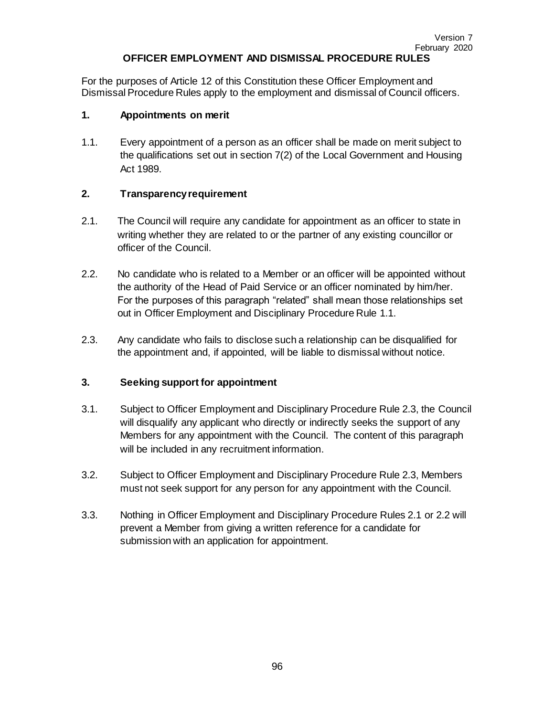#### **OFFICER EMPLOYMENT AND DISMISSAL PROCEDURE RULES**

For the purposes of Article 12 of this Constitution these Officer Employment and Dismissal Procedure Rules apply to the employment and dismissal of Council officers.

#### **1. Appointments on merit**

1.1. Every appointment of a person as an officer shall be made on merit subject to the qualifications set out in section 7(2) of the Local Government and Housing Act 1989.

#### **2. Transparency requirement**

- 2.1. The Council will require any candidate for appointment as an officer to state in writing whether they are related to or the partner of any existing councillor or officer of the Council.
- 2.2. No candidate who is related to a Member or an officer will be appointed without the authority of the Head of Paid Service or an officer nominated by him/her. For the purposes of this paragraph "related" shall mean those relationships set out in Officer Employment and Disciplinary Procedure Rule 1.1.
- 2.3. Any candidate who fails to disclose such a relationship can be disqualified for the appointment and, if appointed, will be liable to dismissal without notice.

#### **3. Seeking support for appointment**

- 3.1. Subject to Officer Employment and Disciplinary Procedure Rule 2.3, the Council will disqualify any applicant who directly or indirectly seeks the support of any Members for any appointment with the Council. The content of this paragraph will be included in any recruitment information.
- 3.2. Subject to Officer Employment and Disciplinary Procedure Rule 2.3, Members must not seek support for any person for any appointment with the Council.
- 3.3. Nothing in Officer Employment and Disciplinary Procedure Rules 2.1 or 2.2 will prevent a Member from giving a written reference for a candidate for submission with an application for appointment.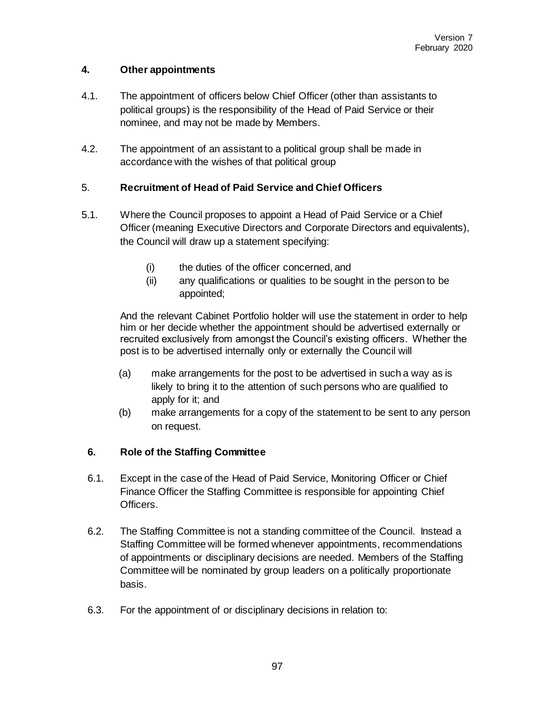## **4. Other appointments**

- 4.1. The appointment of officers below Chief Officer (other than assistants to political groups) is the responsibility of the Head of Paid Service or their nominee, and may not be made by Members.
- 4.2. The appointment of an assistant to a political group shall be made in accordance with the wishes of that political group

## 5. **Recruitment of Head of Paid Service and Chief Officers**

- 5.1. Where the Council proposes to appoint a Head of Paid Service or a Chief Officer (meaning Executive Directors and Corporate Directors and equivalents), the Council will draw up a statement specifying:
	- (i) the duties of the officer concerned, and
	- (ii) any qualifications or qualities to be sought in the person to be appointed;

And the relevant Cabinet Portfolio holder will use the statement in order to help him or her decide whether the appointment should be advertised externally or recruited exclusively from amongst the Council's existing officers. Whether the post is to be advertised internally only or externally the Council will

- (a) make arrangements for the post to be advertised in such a way as is likely to bring it to the attention of such persons who are qualified to apply for it; and
- (b) make arrangements for a copy of the statement to be sent to any person on request.

#### **6. Role of the Staffing Committee**

- 6.1. Except in the case of the Head of Paid Service, Monitoring Officer or Chief Finance Officer the Staffing Committee is responsible for appointing Chief Officers.
- 6.2. The Staffing Committee is not a standing committee of the Council. Instead a Staffing Committee will be formed whenever appointments, recommendations of appointments or disciplinary decisions are needed. Members of the Staffing Committee will be nominated by group leaders on a politically proportionate basis.
- 6.3. For the appointment of or disciplinary decisions in relation to: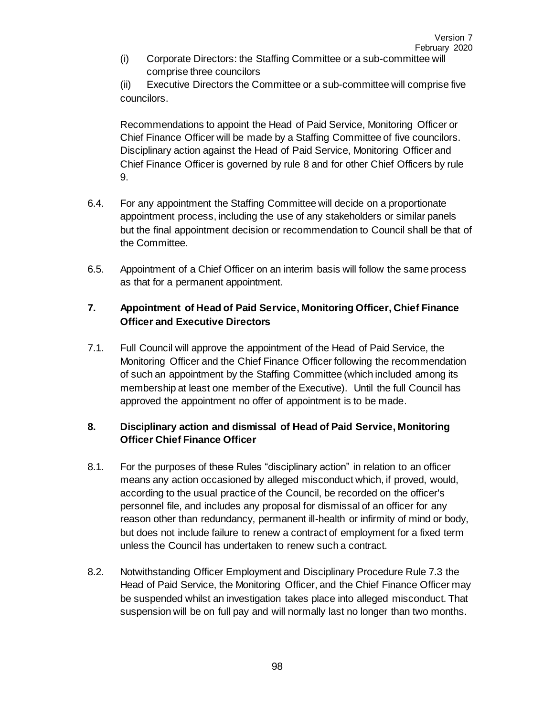(i) Corporate Directors: the Staffing Committee or a sub-committee will comprise three councilors

(ii) Executive Directors the Committee or a sub-committee will comprise five councilors.

Recommendations to appoint the Head of Paid Service, Monitoring Officer or Chief Finance Officer will be made by a Staffing Committee of five councilors. Disciplinary action against the Head of Paid Service, Monitoring Officer and Chief Finance Officer is governed by rule 8 and for other Chief Officers by rule 9.

- 6.4. For any appointment the Staffing Committee will decide on a proportionate appointment process, including the use of any stakeholders or similar panels but the final appointment decision or recommendation to Council shall be that of the Committee.
- 6.5. Appointment of a Chief Officer on an interim basis will follow the same process as that for a permanent appointment.

# **7. Appointment of Head of Paid Service, Monitoring Officer, Chief Finance Officer and Executive Directors**

7.1. Full Council will approve the appointment of the Head of Paid Service, the Monitoring Officer and the Chief Finance Officer following the recommendation of such an appointment by the Staffing Committee (which included among its membership at least one member of the Executive). Until the full Council has approved the appointment no offer of appointment is to be made.

## **8. Disciplinary action and dismissal of Head of Paid Service, Monitoring Officer Chief Finance Officer**

- 8.1. For the purposes of these Rules "disciplinary action" in relation to an officer means any action occasioned by alleged misconduct which, if proved, would, according to the usual practice of the Council, be recorded on the officer's personnel file, and includes any proposal for dismissal of an officer for any reason other than redundancy, permanent ill-health or infirmity of mind or body, but does not include failure to renew a contract of employment for a fixed term unless the Council has undertaken to renew such a contract.
- 8.2. Notwithstanding Officer Employment and Disciplinary Procedure Rule 7.3 the Head of Paid Service, the Monitoring Officer, and the Chief Finance Officer may be suspended whilst an investigation takes place into alleged misconduct. That suspension will be on full pay and will normally last no longer than two months.